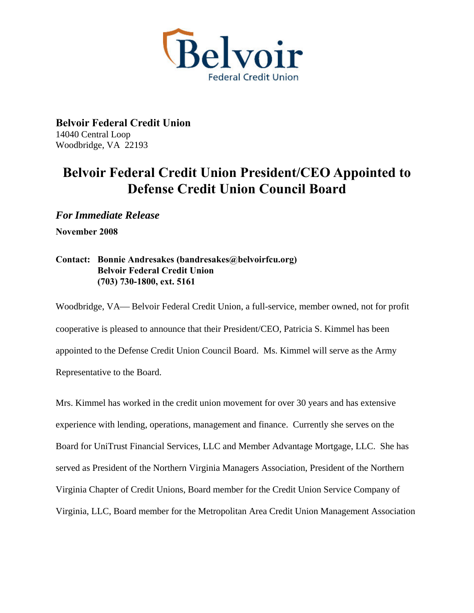

**Belvoir Federal Credit Union**  14040 Central Loop Woodbridge, VA 22193

## **Belvoir Federal Credit Union President/CEO Appointed to Defense Credit Union Council Board**

*For Immediate Release*  **November 2008** 

## **Contact: Bonnie Andresakes (bandresakes@belvoirfcu.org) Belvoir Federal Credit Union (703) 730-1800, ext. 5161**

Woodbridge, VA— Belvoir Federal Credit Union, a full-service, member owned, not for profit cooperative is pleased to announce that their President/CEO, Patricia S. Kimmel has been appointed to the Defense Credit Union Council Board. Ms. Kimmel will serve as the Army Representative to the Board.

Mrs. Kimmel has worked in the credit union movement for over 30 years and has extensive experience with lending, operations, management and finance. Currently she serves on the Board for UniTrust Financial Services, LLC and Member Advantage Mortgage, LLC. She has served as President of the Northern Virginia Managers Association, President of the Northern Virginia Chapter of Credit Unions, Board member for the Credit Union Service Company of Virginia, LLC, Board member for the Metropolitan Area Credit Union Management Association